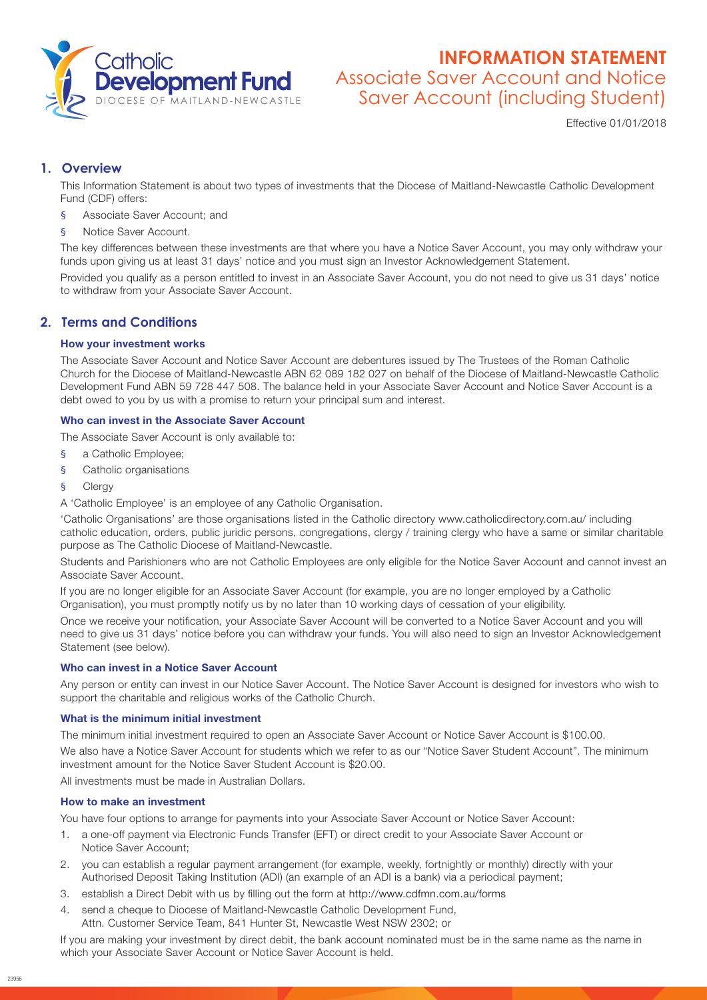

# **INFORMATION STATEMENT** Associate Saver Account and Notice Saver Account (including Student)

Effective 01/01/2018

# **1. Overview**

This Information Statement is about two types of investments that the Diocese of Maitland-Newcastle Catholic Development Fund (CDF) offers:

- § Associate Saver Account; and
- f Notice Saver Account.

The key differences between these investments are that where you have a Notice Saver Account, you may only withdraw your funds upon giving us at least 31 days' notice and you must sign an Investor Acknowledgement Statement.

Provided you qualify as a person entitled to invest in an Associate Saver Account, you do not need to give us 31 days' notice to withdraw from your Associate Saver Account.

# **2. Terms and Conditions**

### How your investment works

The Associate Saver Account and Notice Saver Account are debentures issued by The Trustees of the Roman Catholic Church for the Diocese of Maitland-Newcastle ABN 62 089 182 027 on behalf of the Diocese of Maitland-Newcastle Catholic Development Fund ABN 59 728 447 508. The balance held in your Associate Saver Account and Notice Saver Account is a debt owed to you by us with a promise to return your principal sum and interest.

# Who can invest in the Associate Saver Account

The Associate Saver Account is only available to:

- § a Catholic Employee;
- § Catholic organisations
- § Clergy

A 'Catholic Employee' is an employee of any Catholic Organisation.

'Catholic Organisations' are those organisations listed in the Catholic directory www.catholicdirectory.com.au/ including catholic education, orders, public juridic persons, congregations, clergy / training clergy who have a same or similar charitable purpose as The Catholic Diocese of Maitland-Newcastle.

Students and Parishioners who are not Catholic Employees are only eligible for the Notice Saver Account and cannot invest an Associate Saver Account.

If you are no longer eligible for an Associate Saver Account (for example, you are no longer employed by a Catholic Organisation), you must promptly notify us by no later than 10 working days of cessation of your eligibility.

Once we receive your notification, your Associate Saver Account will be converted to a Notice Saver Account and you will need to give us 31 days' notice before you can withdraw your funds. You will also need to sign an Investor Acknowledgement Statement (see below).

### Who can invest in a Notice Saver Account

Any person or entity can invest in our Notice Saver Account. The Notice Saver Account is designed for investors who wish to support the charitable and religious works of the Catholic Church.

#### What is the minimum initial investment

The minimum initial investment required to open an Associate Saver Account or Notice Saver Account is \$100.00.

We also have a Notice Saver Account for students which we refer to as our "Notice Saver Student Account". The minimum investment amount for the Notice Saver Student Account is \$20.00.

All investments must be made in Australian Dollars.

#### How to make an investment

You have four options to arrange for payments into your Associate Saver Account or Notice Saver Account:

- 1. a one-off payment via Electronic Funds Transfer (EFT) or direct credit to your Associate Saver Account or Notice Saver Account;
- 2. you can establish a regular payment arrangement (for example, weekly, fortnightly or monthly) directly with your Authorised Deposit Taking Institution (ADI) (an example of an ADI is a bank) via a periodical payment;
- 3. establish a Direct Debit with us by filling out the form at http://www.cdfmn.com.au/forms
- 4. send a cheque to Diocese of Maitland-Newcastle Catholic Development Fund, Attn. Customer Service Team, 841 Hunter St, Newcastle West NSW 2302; or

If you are making your investment by direct debit, the bank account nominated must be in the same name as the name in which your Associate Saver Account or Notice Saver Account is held.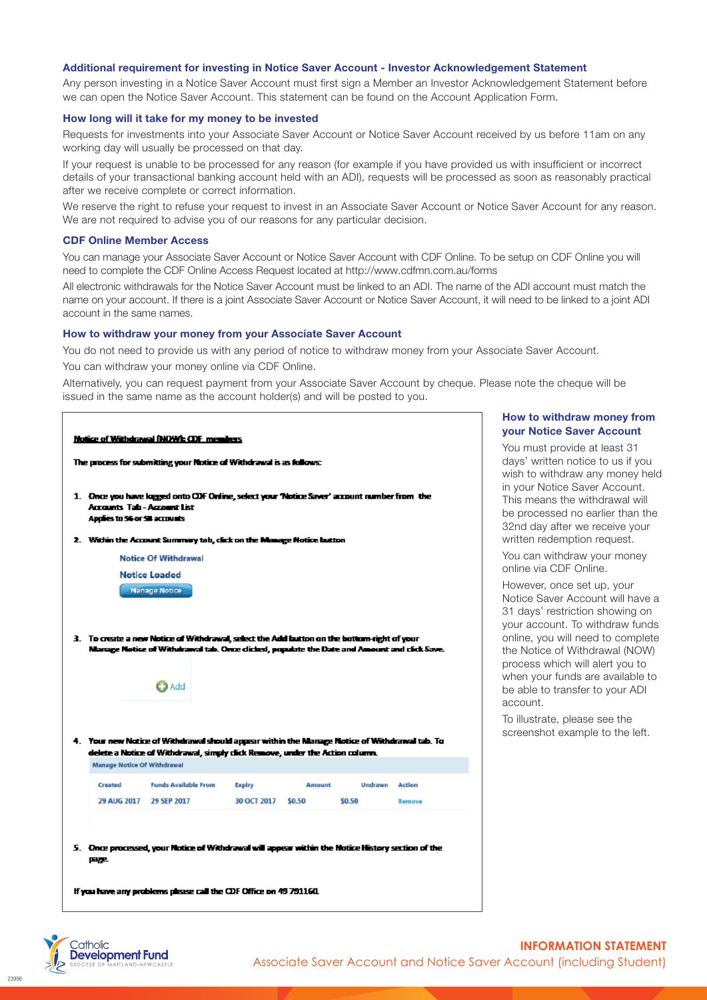#### Additional requirement for investing in Notice Saver Account - Investor Acknowledgement Statement

Any person investing in a Notice Saver Account must first sign a Member an Investor Acknowledgement Statement before we can open the Notice Saver Account. This statement can be found on the Account Application Form.

#### How long will it take for my money to be invested

Requests for investments into your Associate Saver Account or Notice Saver Account received by us before 11am on any working day will usually be processed on that day.

If your request is unable to be processed for any reason (for example if you have provided us with insufficient or incorrect details of your transactional banking account held with an ADI), requests will be processed as soon as reasonably practical after we receive complete or correct information.

We reserve the right to refuse your request to invest in an Associate Saver Account or Notice Saver Account for any reason. We are not required to advise you of our reasons for any particular decision.

#### CDF Online Member Access

You can manage your Associate Saver Account or Notice Saver Account with CDF Online. To be setup on CDF Online you will need to complete the CDF Online Access Request located at http://www.cdfmn.com.au/forms

All electronic withdrawals for the Notice Saver Account must be linked to an ADI. The name of the ADI account must match the name on your account. If there is a joint Associate Saver Account or Notice Saver Account, it will need to be linked to a joint ADI account in the same names.

#### How to withdraw your money from your Associate Saver Account

You do not need to provide us with any period of notice to withdraw money from your Associate Saver Account. You can withdraw your money online via CDF Online.

Alternatively, you can request payment from your Associate Saver Account by cheque. Please note the cheque will be issued in the same name as the account holder(s) and will be posted to you.



#### How to withdraw money from your Notice Saver Account

You must provide at least 31 days' written notice to us if you wish to withdraw any money held in your Notice Saver Account. This means the withdrawal will be processed no earlier than the 32nd day after we receive your written redemption request.

You can withdraw your money online via CDF Online.

However, once set up, your Notice Saver Account will have a 31 days' restriction showing on your account. To withdraw funds online, you will need to complete the Notice of Withdrawal (NOW) process which will alert you to when your funds are available to be able to transfer to your ADI account.

To illustrate, please see the screenshot example to the left.

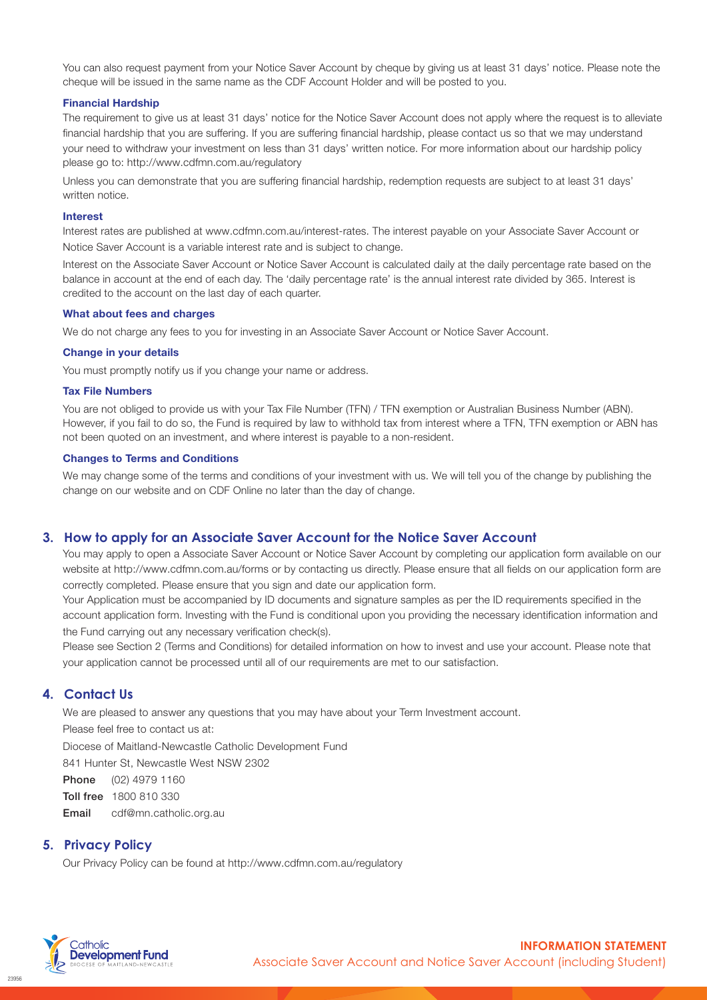You can also request payment from your Notice Saver Account by cheque by giving us at least 31 days' notice. Please note the cheque will be issued in the same name as the CDF Account Holder and will be posted to you.

#### Financial Hardship

The requirement to give us at least 31 days' notice for the Notice Saver Account does not apply where the request is to alleviate financial hardship that you are suffering. If you are suffering financial hardship, please contact us so that we may understand your need to withdraw your investment on less than 31 days' written notice. For more information about our hardship policy please go to: [http://www.cdfmn.com.au/](http://www.cdfmn.com.au/regulatory)regulatory

Unless you can demonstrate that you are suffering financial hardship, redemption requests are subject to at least 31 days' written notice.

#### Interest

Interest rates are published at <www.cdfmn.com.au/interest-rates>. The interest payable on your Associate Saver Account or Notice Saver Account is a variable interest rate and is subject to change.

Interest on the Associate Saver Account or Notice Saver Account is calculated daily at the daily percentage rate based on the balance in account at the end of each day. The 'daily percentage rate' is the annual interest rate divided by 365. Interest is credited to the account on the last day of each quarter.

#### What about fees and charges

We do not charge any fees to you for investing in an Associate Saver Account or Notice Saver Account.

#### Change in your details

You must promptly notify us if you change your name or address.

#### Tax File Numbers

You are not obliged to provide us with your Tax File Number (TFN) / TFN exemption or Australian Business Number (ABN). However, if you fail to do so, the Fund is required by law to withhold tax from interest where a TFN, TFN exemption or ABN has not been quoted on an investment, and where interest is payable to a non-resident.

#### Changes to Terms and Conditions

We may change some of the terms and conditions of your investment with us. We will tell you of the change by publishing the change on our website and on CDF Online no later than the day of change.

### **3. How to apply for an Associate Saver Account for the Notice Saver Account**

You may apply to open a Associate Saver Account or Notice Saver Account by completing our application form available on our website at http://www.cdfmn.com.au/forms or by contacting us directly. Please ensure that all fields on our application form are correctly completed. Please ensure that you sign and date our application form.

Your Application must be accompanied by ID documents and signature samples as per the ID requirements specified in the account application form. Investing with the Fund is conditional upon you providing the necessary identification information and the Fund carrying out any necessary verification check(s).

Please see Section 2 (Terms and Conditions) for detailed information on how to invest and use your account. Please note that your application cannot be processed until all of our requirements are met to our satisfaction.

# **4. Contact Us**

We are pleased to answer any questions that you may have about your Term Investment account.

Please feel free to contact us at:

Diocese of Maitland-Newcastle Catholic Development Fund

841 Hunter St, Newcastle West NSW 2302

Phone (02) 4979 1160

Toll free 1800 810 330

Email cdf@mn.catholic.org.au

### **5. Privacy Policy**

Our Privacy Policy can be found at <http://www.cdfmn.com.au/regulatory>